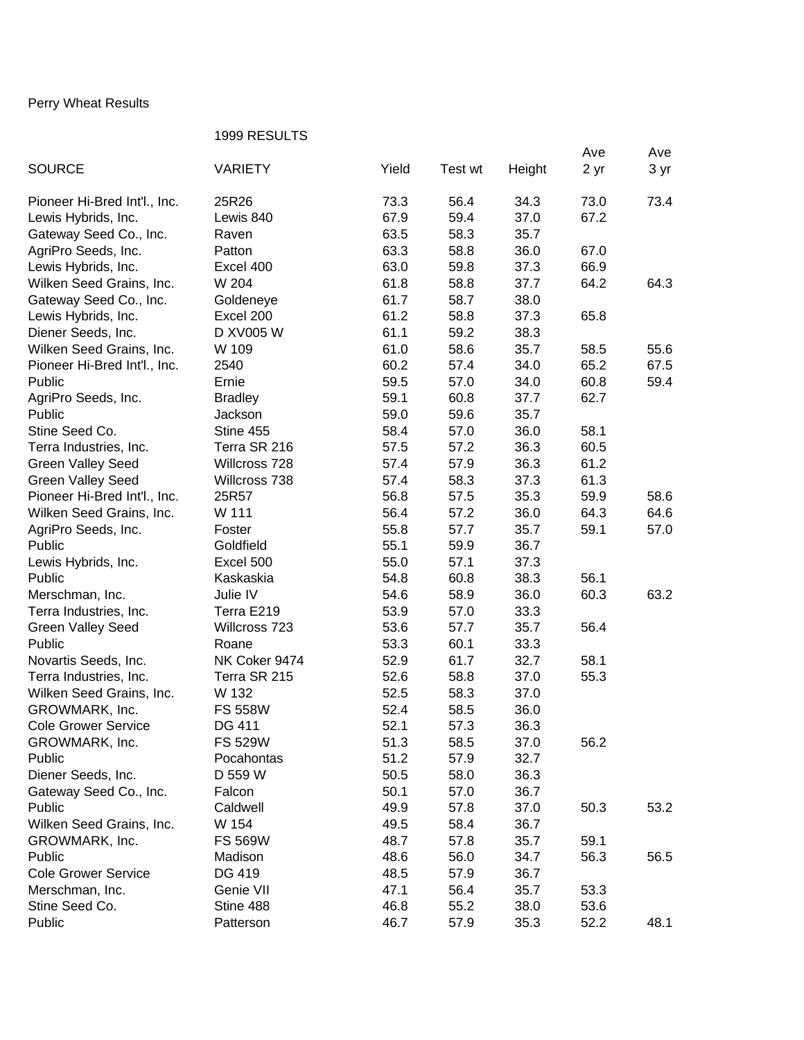## Perry Wheat Results

## 1999 RESULTS

|                              |                |       |         |        | Ave  | Ave  |
|------------------------------|----------------|-------|---------|--------|------|------|
| <b>SOURCE</b>                | VARIETY        | Yield | Test wt | Height | 2 yr | 3 yr |
|                              |                |       |         |        |      |      |
| Pioneer Hi-Bred Int'l., Inc. | 25R26          | 73.3  | 56.4    | 34.3   | 73.0 | 73.4 |
| Lewis Hybrids, Inc.          | Lewis 840      | 67.9  | 59.4    | 37.0   | 67.2 |      |
| Gateway Seed Co., Inc.       | Raven          | 63.5  | 58.3    | 35.7   |      |      |
| AgriPro Seeds, Inc.          | Patton         | 63.3  | 58.8    | 36.0   | 67.0 |      |
| Lewis Hybrids, Inc.          | Excel 400      | 63.0  | 59.8    | 37.3   | 66.9 |      |
| Wilken Seed Grains, Inc.     | W 204          | 61.8  | 58.8    | 37.7   | 64.2 | 64.3 |
| Gateway Seed Co., Inc.       | Goldeneye      | 61.7  | 58.7    | 38.0   |      |      |
| Lewis Hybrids, Inc.          | Excel 200      | 61.2  | 58.8    | 37.3   | 65.8 |      |
| Diener Seeds, Inc.           | D XV005 W      | 61.1  | 59.2    | 38.3   |      |      |
| Wilken Seed Grains, Inc.     | W 109          | 61.0  | 58.6    | 35.7   | 58.5 | 55.6 |
| Pioneer Hi-Bred Int'l., Inc. | 2540           | 60.2  | 57.4    | 34.0   | 65.2 | 67.5 |
| Public                       | Ernie          | 59.5  | 57.0    | 34.0   | 60.8 | 59.4 |
| AgriPro Seeds, Inc.          | <b>Bradley</b> | 59.1  | 60.8    | 37.7   | 62.7 |      |
| Public                       | Jackson        | 59.0  | 59.6    | 35.7   |      |      |
| Stine Seed Co.               | Stine 455      | 58.4  | 57.0    | 36.0   | 58.1 |      |
| Terra Industries, Inc.       | Terra SR 216   | 57.5  | 57.2    | 36.3   | 60.5 |      |
| <b>Green Valley Seed</b>     | Willcross 728  | 57.4  | 57.9    | 36.3   | 61.2 |      |
| <b>Green Valley Seed</b>     | Willcross 738  | 57.4  | 58.3    | 37.3   | 61.3 |      |
| Pioneer Hi-Bred Int'l., Inc. | 25R57          | 56.8  | 57.5    | 35.3   | 59.9 | 58.6 |
| Wilken Seed Grains, Inc.     | W 111          | 56.4  | 57.2    | 36.0   | 64.3 | 64.6 |
| AgriPro Seeds, Inc.          | Foster         | 55.8  | 57.7    | 35.7   | 59.1 | 57.0 |
| Public                       | Goldfield      | 55.1  | 59.9    | 36.7   |      |      |
| Lewis Hybrids, Inc.          | Excel 500      | 55.0  | 57.1    | 37.3   |      |      |
| Public                       | Kaskaskia      | 54.8  | 60.8    | 38.3   | 56.1 |      |
| Merschman, Inc.              | Julie IV       | 54.6  | 58.9    | 36.0   | 60.3 | 63.2 |
| Terra Industries, Inc.       | Terra E219     | 53.9  | 57.0    | 33.3   |      |      |
| <b>Green Valley Seed</b>     | Willcross 723  | 53.6  | 57.7    | 35.7   | 56.4 |      |
| Public                       | Roane          | 53.3  | 60.1    | 33.3   |      |      |
| Novartis Seeds, Inc.         | NK Coker 9474  | 52.9  | 61.7    | 32.7   | 58.1 |      |
| Terra Industries, Inc.       | Terra SR 215   | 52.6  | 58.8    | 37.0   | 55.3 |      |
| Wilken Seed Grains, Inc.     | W 132          | 52.5  | 58.3    | 37.0   |      |      |
| GROWMARK, Inc.               | <b>FS 558W</b> | 52.4  | 58.5    | 36.0   |      |      |
| Cole Grower Service          | DG 411         | 52.1  | 57.3    | 36.3   |      |      |
| GROWMARK, Inc.               | <b>FS 529W</b> | 51.3  | 58.5    | 37.0   | 56.2 |      |
| Public                       | Pocahontas     | 51.2  | 57.9    | 32.7   |      |      |
| Diener Seeds, Inc.           | D 559 W        | 50.5  | 58.0    | 36.3   |      |      |
| Gateway Seed Co., Inc.       | Falcon         | 50.1  | 57.0    | 36.7   |      |      |
| Public                       | Caldwell       | 49.9  | 57.8    | 37.0   | 50.3 | 53.2 |
| Wilken Seed Grains, Inc.     | W 154          | 49.5  | 58.4    | 36.7   |      |      |
| GROWMARK, Inc.               | <b>FS 569W</b> | 48.7  | 57.8    | 35.7   | 59.1 |      |
| Public                       | Madison        | 48.6  | 56.0    | 34.7   | 56.3 | 56.5 |
| <b>Cole Grower Service</b>   | DG 419         | 48.5  | 57.9    | 36.7   |      |      |
| Merschman, Inc.              | Genie VII      | 47.1  | 56.4    | 35.7   | 53.3 |      |
| Stine Seed Co.               | Stine 488      | 46.8  | 55.2    | 38.0   | 53.6 |      |
| Public                       | Patterson      | 46.7  | 57.9    | 35.3   | 52.2 | 48.1 |